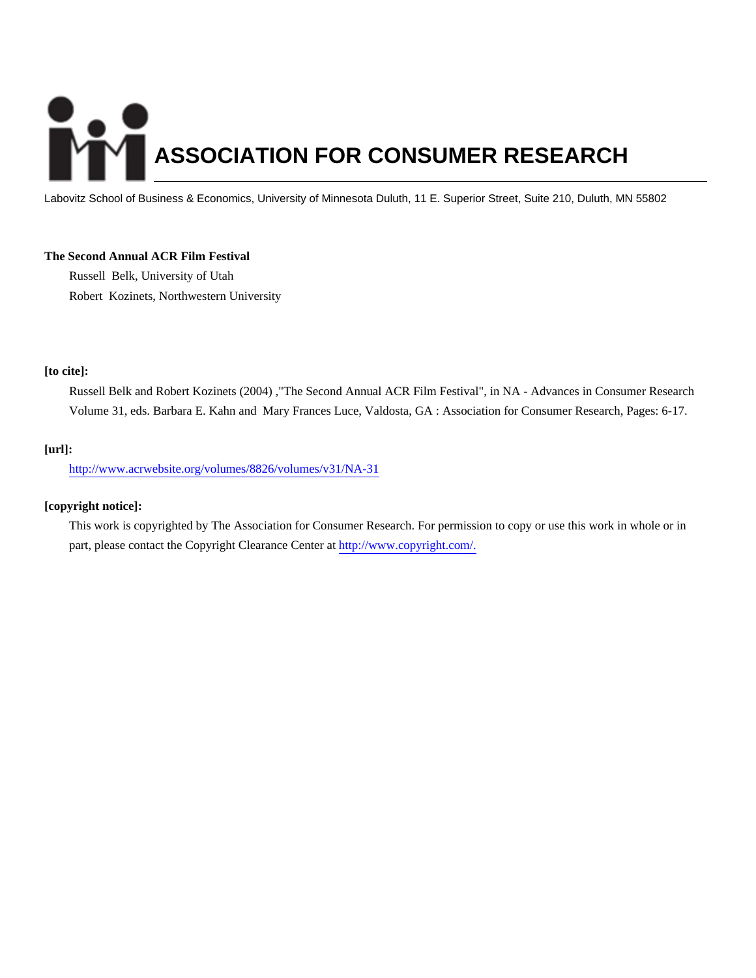# **ASSOCIATION FOR CONSUMER RESEARCH**

Labovitz School of Business & Economics, University of Minnesota Duluth, 11 E. Superior Street, Suite 210, Duluth, MN 55802

# **The Second Annual ACR Film Festival**

Russell Belk, University of Utah

Robert Kozinets, Northwestern University

## **[to cite]:**

Russell Belk and Robert Kozinets (2004) ,"The Second Annual ACR Film Festival", in NA - Advances in Consumer Research Volume 31, eds. Barbara E. Kahn and Mary Frances Luce, Valdosta, GA : Association for Consumer Research, Pages: 6-17.

# **[url]:**

<http://www.acrwebsite.org/volumes/8826/volumes/v31/NA-31>

# **[copyright notice]:**

This work is copyrighted by The Association for Consumer Research. For permission to copy or use this work in whole or in part, please contact the Copyright Clearance Center at [http://www.copyright.com/.](http://www.copyright.com/)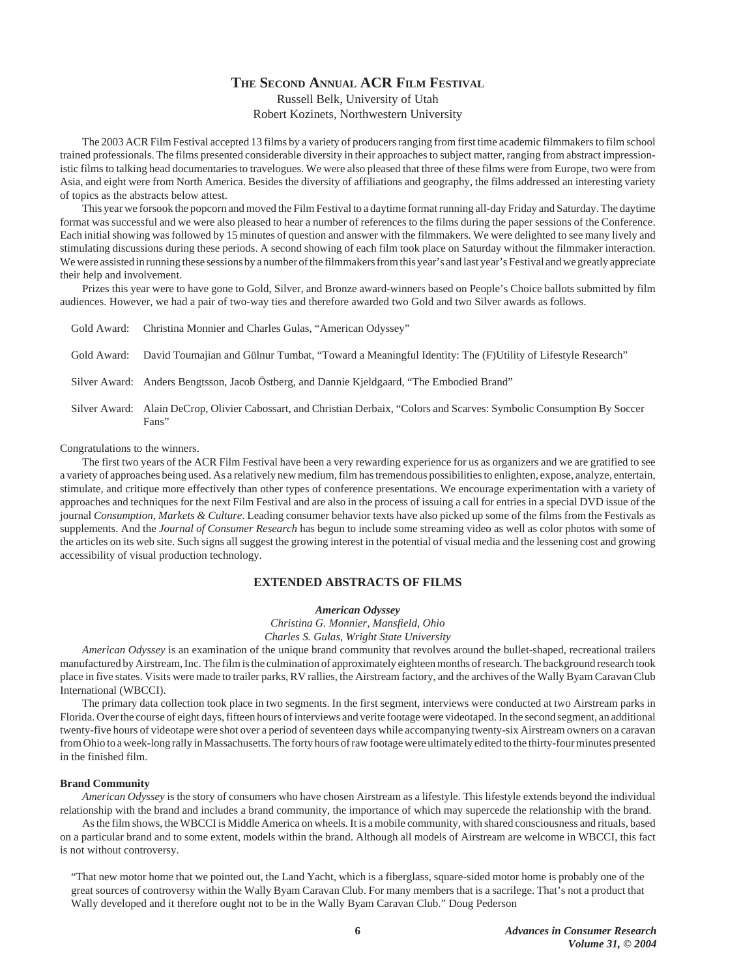Russell Belk, University of Utah Robert Kozinets, Northwestern University

The 2003 ACR Film Festival accepted 13 films by a variety of producers ranging from first time academic filmmakers to film school trained professionals. The films presented considerable diversity in their approaches to subject matter, ranging from abstract impressionistic films to talking head documentaries to travelogues. We were also pleased that three of these films were from Europe, two were from Asia, and eight were from North America. Besides the diversity of affiliations and geography, the films addressed an interesting variety of topics as the abstracts below attest.

This year we forsook the popcorn and moved the Film Festival to a daytime format running all-day Friday and Saturday. The daytime format was successful and we were also pleased to hear a number of references to the films during the paper sessions of the Conference. Each initial showing was followed by 15 minutes of question and answer with the filmmakers. We were delighted to see many lively and stimulating discussions during these periods. A second showing of each film took place on Saturday without the filmmaker interaction. We were assisted in running these sessions by a number of the filmmakers from this year's and last year's Festival and we greatly appreciate their help and involvement.

Prizes this year were to have gone to Gold, Silver, and Bronze award-winners based on People's Choice ballots submitted by film audiences. However, we had a pair of two-way ties and therefore awarded two Gold and two Silver awards as follows.

| Gold Award: Christina Monnier and Charles Gulas, "American Odyssey"                                                                |
|------------------------------------------------------------------------------------------------------------------------------------|
| Gold Award: David Toumajian and Gülnur Tumbat, "Toward a Meaningful Identity: The (F)Utility of Lifestyle Research"                |
| Silver Award: Anders Bengtsson, Jacob Östberg, and Dannie Kjeldgaard, "The Embodied Brand"                                         |
| Silver Award: Alain DeCrop, Olivier Cabossart, and Christian Derbaix, "Colors and Scarves: Symbolic Consumption By Soccer<br>Fans" |

Congratulations to the winners.

The first two years of the ACR Film Festival have been a very rewarding experience for us as organizers and we are gratified to see a variety of approaches being used. As a relatively new medium, film has tremendous possibilities to enlighten, expose, analyze, entertain, stimulate, and critique more effectively than other types of conference presentations. We encourage experimentation with a variety of approaches and techniques for the next Film Festival and are also in the process of issuing a call for entries in a special DVD issue of the journal *Consumption, Markets & Culture*. Leading consumer behavior texts have also picked up some of the films from the Festivals as supplements. And the *Journal of Consumer Research* has begun to include some streaming video as well as color photos with some of the articles on its web site. Such signs all suggest the growing interest in the potential of visual media and the lessening cost and growing accessibility of visual production technology.

## **EXTENDED ABSTRACTS OF FILMS**

*American Odyssey*

*Christina G. Monnier, Mansfield, Ohio Charles S. Gulas, Wright State University*

*American Odyssey* is an examination of the unique brand community that revolves around the bullet-shaped, recreational trailers manufactured by Airstream, Inc. The film is the culmination of approximately eighteen months of research. The background research took place in five states. Visits were made to trailer parks, RV rallies, the Airstream factory, and the archives of the Wally Byam Caravan Club International (WBCCI).

The primary data collection took place in two segments. In the first segment, interviews were conducted at two Airstream parks in Florida. Over the course of eight days, fifteen hours of interviews and verite footage were videotaped. In the second segment, an additional twenty-five hours of videotape were shot over a period of seventeen days while accompanying twenty-six Airstream owners on a caravan from Ohio to a week-long rally in Massachusetts. The forty hours of raw footage were ultimately edited to the thirty-four minutes presented in the finished film.

## **Brand Community**

*American Odyssey* is the story of consumers who have chosen Airstream as a lifestyle. This lifestyle extends beyond the individual relationship with the brand and includes a brand community, the importance of which may supercede the relationship with the brand.

As the film shows, the WBCCI is Middle America on wheels. It is a mobile community, with shared consciousness and rituals, based on a particular brand and to some extent, models within the brand. Although all models of Airstream are welcome in WBCCI, this fact is not without controversy.

"That new motor home that we pointed out, the Land Yacht, which is a fiberglass, square-sided motor home is probably one of the great sources of controversy within the Wally Byam Caravan Club. For many members that is a sacrilege. That's not a product that Wally developed and it therefore ought not to be in the Wally Byam Caravan Club." Doug Pederson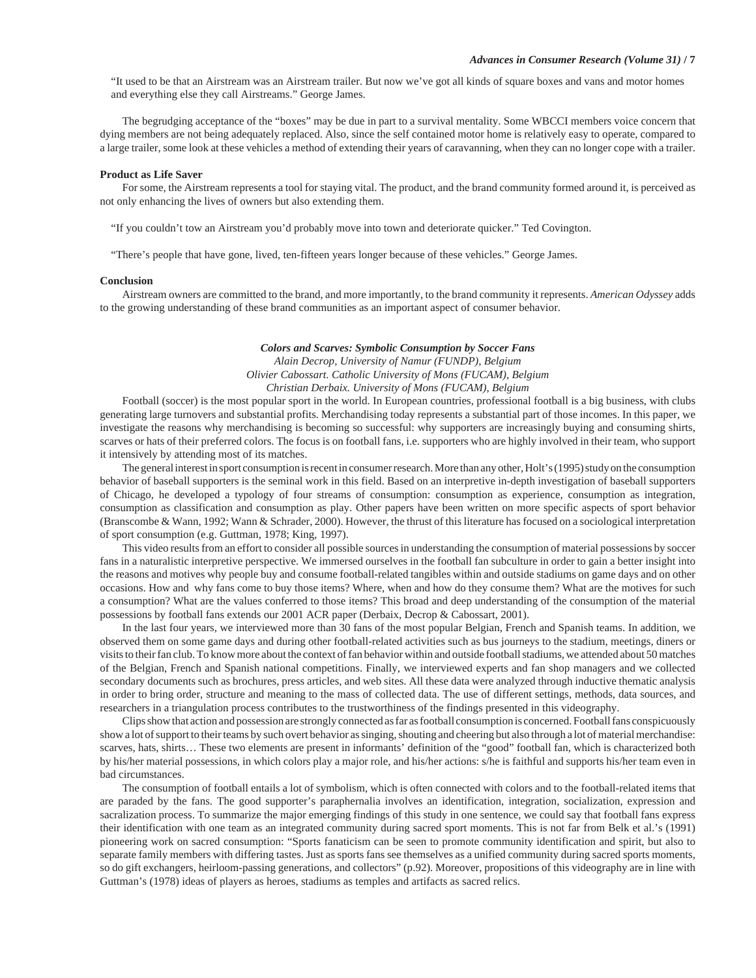"It used to be that an Airstream was an Airstream trailer. But now we've got all kinds of square boxes and vans and motor homes and everything else they call Airstreams." George James.

The begrudging acceptance of the "boxes" may be due in part to a survival mentality. Some WBCCI members voice concern that dying members are not being adequately replaced. Also, since the self contained motor home is relatively easy to operate, compared to a large trailer, some look at these vehicles a method of extending their years of caravanning, when they can no longer cope with a trailer.

#### **Product as Life Saver**

For some, the Airstream represents a tool for staying vital. The product, and the brand community formed around it, is perceived as not only enhancing the lives of owners but also extending them.

"If you couldn't tow an Airstream you'd probably move into town and deteriorate quicker." Ted Covington.

"There's people that have gone, lived, ten-fifteen years longer because of these vehicles." George James.

#### **Conclusion**

Airstream owners are committed to the brand, and more importantly, to the brand community it represents. *American Odyssey* adds to the growing understanding of these brand communities as an important aspect of consumer behavior.

## *Colors and Scarves: Symbolic Consumption by Soccer Fans Alain Decrop, University of Namur (FUNDP), Belgium Olivier Cabossart. Catholic University of Mons (FUCAM), Belgium Christian Derbaix. University of Mons (FUCAM), Belgium*

Football (soccer) is the most popular sport in the world. In European countries, professional football is a big business, with clubs generating large turnovers and substantial profits. Merchandising today represents a substantial part of those incomes. In this paper, we investigate the reasons why merchandising is becoming so successful: why supporters are increasingly buying and consuming shirts, scarves or hats of their preferred colors. The focus is on football fans, i.e. supporters who are highly involved in their team, who support it intensively by attending most of its matches.

The general interest in sport consumption is recent in consumer research. More than any other, Holt's (1995) study on the consumption behavior of baseball supporters is the seminal work in this field. Based on an interpretive in-depth investigation of baseball supporters of Chicago, he developed a typology of four streams of consumption: consumption as experience, consumption as integration, consumption as classification and consumption as play. Other papers have been written on more specific aspects of sport behavior (Branscombe & Wann, 1992; Wann & Schrader, 2000). However, the thrust of this literature has focused on a sociological interpretation of sport consumption (e.g. Guttman, 1978; King, 1997).

This video results from an effort to consider all possible sources in understanding the consumption of material possessions by soccer fans in a naturalistic interpretive perspective. We immersed ourselves in the football fan subculture in order to gain a better insight into the reasons and motives why people buy and consume football-related tangibles within and outside stadiums on game days and on other occasions. How and why fans come to buy those items? Where, when and how do they consume them? What are the motives for such a consumption? What are the values conferred to those items? This broad and deep understanding of the consumption of the material possessions by football fans extends our 2001 ACR paper (Derbaix, Decrop & Cabossart, 2001).

In the last four years, we interviewed more than 30 fans of the most popular Belgian, French and Spanish teams. In addition, we observed them on some game days and during other football-related activities such as bus journeys to the stadium, meetings, diners or visits to their fan club. To know more about the context of fan behavior within and outside football stadiums, we attended about 50 matches of the Belgian, French and Spanish national competitions. Finally, we interviewed experts and fan shop managers and we collected secondary documents such as brochures, press articles, and web sites. All these data were analyzed through inductive thematic analysis in order to bring order, structure and meaning to the mass of collected data. The use of different settings, methods, data sources, and researchers in a triangulation process contributes to the trustworthiness of the findings presented in this videography.

Clips show that action and possession are strongly connected as far as football consumption is concerned. Football fans conspicuously show a lot of support to their teams by such overt behavior as singing, shouting and cheering but also through a lot of material merchandise: scarves, hats, shirts… These two elements are present in informants' definition of the "good" football fan, which is characterized both by his/her material possessions, in which colors play a major role, and his/her actions: s/he is faithful and supports his/her team even in bad circumstances.

The consumption of football entails a lot of symbolism, which is often connected with colors and to the football-related items that are paraded by the fans. The good supporter's paraphernalia involves an identification, integration, socialization, expression and sacralization process. To summarize the major emerging findings of this study in one sentence, we could say that football fans express their identification with one team as an integrated community during sacred sport moments. This is not far from Belk et al.'s (1991) pioneering work on sacred consumption: "Sports fanaticism can be seen to promote community identification and spirit, but also to separate family members with differing tastes. Just as sports fans see themselves as a unified community during sacred sports moments, so do gift exchangers, heirloom-passing generations, and collectors" (p.92). Moreover, propositions of this videography are in line with Guttman's (1978) ideas of players as heroes, stadiums as temples and artifacts as sacred relics.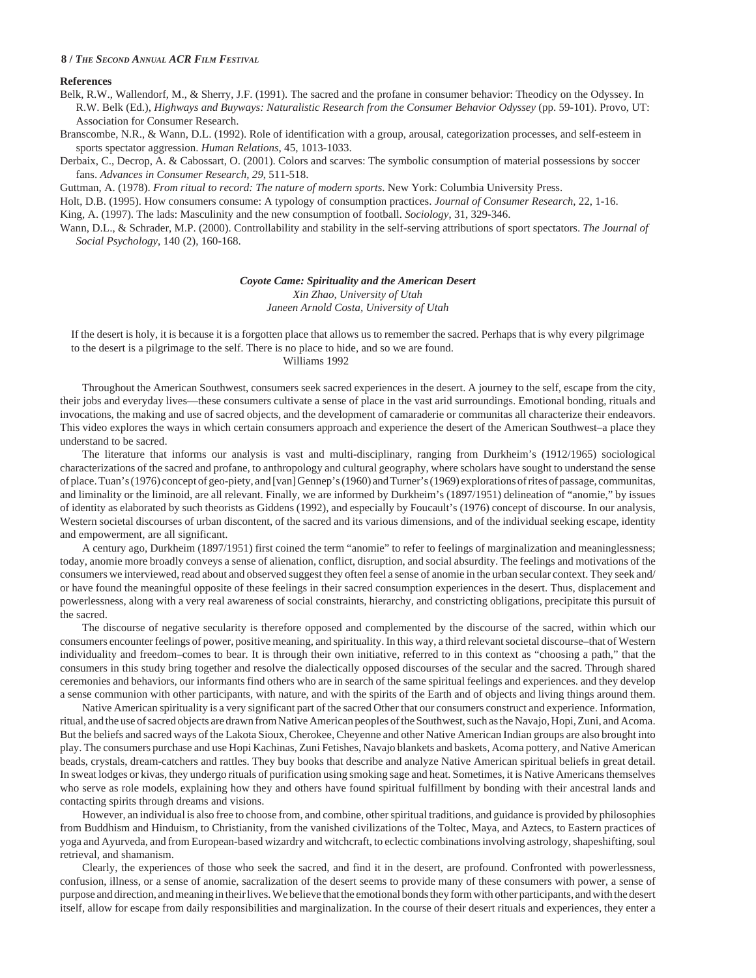#### **References**

Belk, R.W., Wallendorf, M., & Sherry, J.F. (1991). The sacred and the profane in consumer behavior: Theodicy on the Odyssey. In R.W. Belk (Ed.), *Highways and Buyways: Naturalistic Research from the Consumer Behavior Odyssey* (pp. 59-101). Provo, UT: Association for Consumer Research.

Branscombe, N.R., & Wann, D.L. (1992). Role of identification with a group, arousal, categorization processes, and self-esteem in sports spectator aggression. *Human Relations*, 45, 1013-1033.

Derbaix, C., Decrop, A. & Cabossart, O. (2001). Colors and scarves: The symbolic consumption of material possessions by soccer fans. *Advances in Consumer Research, 29*, 511-518.

Guttman, A. (1978). *From ritual to record: The nature of modern sports*. New York: Columbia University Press.

Holt, D.B. (1995). How consumers consume: A typology of consumption practices. *Journal of Consumer Research*, 22, 1-16.

King, A. (1997). The lads: Masculinity and the new consumption of football. *Sociology*, 31, 329-346.

Wann, D.L., & Schrader, M.P. (2000). Controllability and stability in the self-serving attributions of sport spectators. *The Journal of Social Psychology*, 140 (2), 160-168.

*Coyote Came: Spirituality and the American Desert*

*Xin Zhao, University of Utah Janeen Arnold Costa, University of Utah*

If the desert is holy, it is because it is a forgotten place that allows us to remember the sacred. Perhaps that is why every pilgrimage to the desert is a pilgrimage to the self. There is no place to hide, and so we are found.

Williams 1992

Throughout the American Southwest, consumers seek sacred experiences in the desert. A journey to the self, escape from the city, their jobs and everyday lives—these consumers cultivate a sense of place in the vast arid surroundings. Emotional bonding, rituals and invocations, the making and use of sacred objects, and the development of camaraderie or communitas all characterize their endeavors. This video explores the ways in which certain consumers approach and experience the desert of the American Southwest–a place they understand to be sacred.

The literature that informs our analysis is vast and multi-disciplinary, ranging from Durkheim's (1912/1965) sociological characterizations of the sacred and profane, to anthropology and cultural geography, where scholars have sought to understand the sense of place. Tuan's (1976) concept of geo-piety, and [van] Gennep's (1960) and Turner's (1969) explorations of rites of passage, communitas, and liminality or the liminoid, are all relevant. Finally, we are informed by Durkheim's (1897/1951) delineation of "anomie," by issues of identity as elaborated by such theorists as Giddens (1992), and especially by Foucault's (1976) concept of discourse. In our analysis, Western societal discourses of urban discontent, of the sacred and its various dimensions, and of the individual seeking escape, identity and empowerment, are all significant.

A century ago, Durkheim (1897/1951) first coined the term "anomie" to refer to feelings of marginalization and meaninglessness; today, anomie more broadly conveys a sense of alienation, conflict, disruption, and social absurdity. The feelings and motivations of the consumers we interviewed, read about and observed suggest they often feel a sense of anomie in the urban secular context. They seek and/ or have found the meaningful opposite of these feelings in their sacred consumption experiences in the desert. Thus, displacement and powerlessness, along with a very real awareness of social constraints, hierarchy, and constricting obligations, precipitate this pursuit of the sacred.

The discourse of negative secularity is therefore opposed and complemented by the discourse of the sacred, within which our consumers encounter feelings of power, positive meaning, and spirituality. In this way, a third relevant societal discourse–that of Western individuality and freedom–comes to bear. It is through their own initiative, referred to in this context as "choosing a path," that the consumers in this study bring together and resolve the dialectically opposed discourses of the secular and the sacred. Through shared ceremonies and behaviors, our informants find others who are in search of the same spiritual feelings and experiences. and they develop a sense communion with other participants, with nature, and with the spirits of the Earth and of objects and living things around them.

Native American spirituality is a very significant part of the sacred Other that our consumers construct and experience. Information, ritual, and the use of sacred objects are drawn from Native American peoples of the Southwest, such as the Navajo, Hopi, Zuni, and Acoma. But the beliefs and sacred ways of the Lakota Sioux, Cherokee, Cheyenne and other Native American Indian groups are also brought into play. The consumers purchase and use Hopi Kachinas, Zuni Fetishes, Navajo blankets and baskets, Acoma pottery, and Native American beads, crystals, dream-catchers and rattles. They buy books that describe and analyze Native American spiritual beliefs in great detail. In sweat lodges or kivas, they undergo rituals of purification using smoking sage and heat. Sometimes, it is Native Americans themselves who serve as role models, explaining how they and others have found spiritual fulfillment by bonding with their ancestral lands and contacting spirits through dreams and visions.

However, an individual is also free to choose from, and combine, other spiritual traditions, and guidance is provided by philosophies from Buddhism and Hinduism, to Christianity, from the vanished civilizations of the Toltec, Maya, and Aztecs, to Eastern practices of yoga and Ayurveda, and from European-based wizardry and witchcraft, to eclectic combinations involving astrology, shapeshifting, soul retrieval, and shamanism.

Clearly, the experiences of those who seek the sacred, and find it in the desert, are profound. Confronted with powerlessness, confusion, illness, or a sense of anomie, sacralization of the desert seems to provide many of these consumers with power, a sense of purpose and direction, and meaning in their lives. We believe that the emotional bonds they form with other participants, and with the desert itself, allow for escape from daily responsibilities and marginalization. In the course of their desert rituals and experiences, they enter a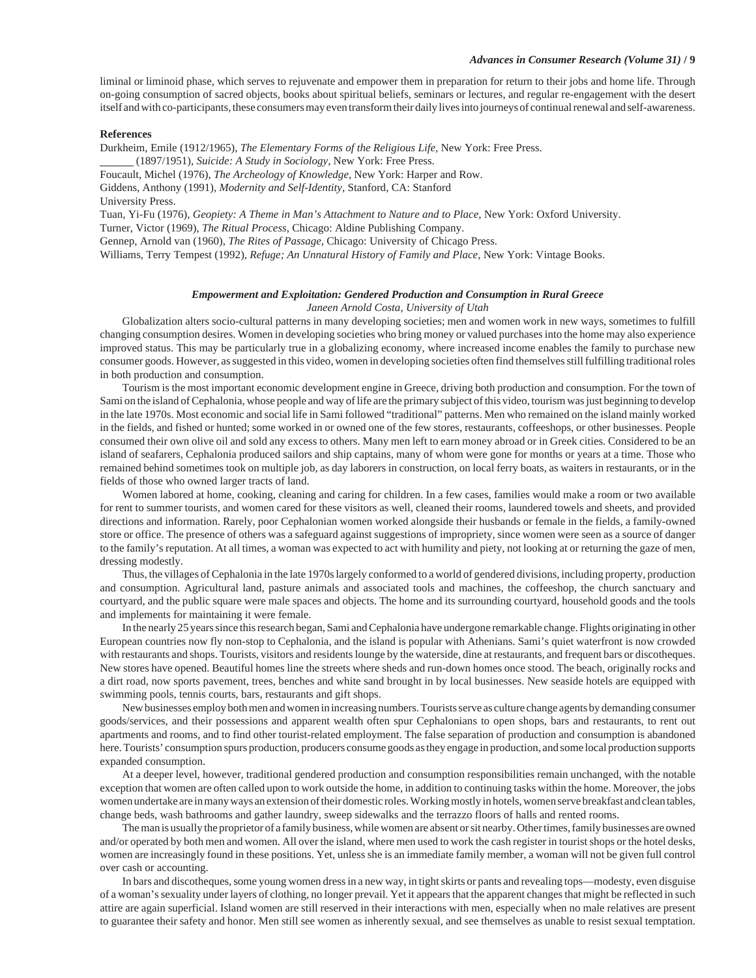liminal or liminoid phase, which serves to rejuvenate and empower them in preparation for return to their jobs and home life. Through on-going consumption of sacred objects, books about spiritual beliefs, seminars or lectures, and regular re-engagement with the desert itself and with co-participants, these consumers may even transform their daily lives into journeys of continual renewal and self-awareness.

#### **References**

Durkheim, Emile (1912/1965), *The Elementary Forms of the Religious Life,* New York: Free Press. (1897/1951), *Suicide: A Study in Sociology,* New York: Free Press. Foucault, Michel (1976), *The Archeology of Knowledge,* New York: Harper and Row. Giddens, Anthony (1991), *Modernity and Self-Identity,* Stanford, CA: Stanford University Press. Tuan, Yi-Fu (1976), *Geopiety: A Theme in Man's Attachment to Nature and to Place,* New York: Oxford University. Turner, Victor (1969), *The Ritual Process,* Chicago: Aldine Publishing Company. Gennep, Arnold van (1960), *The Rites of Passage,* Chicago: University of Chicago Press. Williams, Terry Tempest (1992), *Refuge; An Unnatural History of Family and Place,* New York: Vintage Books.

#### *Empowerment and Exploitation: Gendered Production and Consumption in Rural Greece Janeen Arnold Costa, University of Utah*

Globalization alters socio-cultural patterns in many developing societies; men and women work in new ways, sometimes to fulfill changing consumption desires. Women in developing societies who bring money or valued purchases into the home may also experience improved status. This may be particularly true in a globalizing economy, where increased income enables the family to purchase new consumer goods. However, as suggested in this video, women in developing societies often find themselves still fulfilling traditional roles in both production and consumption.

Tourism is the most important economic development engine in Greece, driving both production and consumption. For the town of Sami on the island of Cephalonia, whose people and way of life are the primary subject of this video, tourism was just beginning to develop in the late 1970s. Most economic and social life in Sami followed "traditional" patterns. Men who remained on the island mainly worked in the fields, and fished or hunted; some worked in or owned one of the few stores, restaurants, coffeeshops, or other businesses. People consumed their own olive oil and sold any excess to others. Many men left to earn money abroad or in Greek cities. Considered to be an island of seafarers, Cephalonia produced sailors and ship captains, many of whom were gone for months or years at a time. Those who remained behind sometimes took on multiple job, as day laborers in construction, on local ferry boats, as waiters in restaurants, or in the fields of those who owned larger tracts of land.

Women labored at home, cooking, cleaning and caring for children. In a few cases, families would make a room or two available for rent to summer tourists, and women cared for these visitors as well, cleaned their rooms, laundered towels and sheets, and provided directions and information. Rarely, poor Cephalonian women worked alongside their husbands or female in the fields, a family-owned store or office. The presence of others was a safeguard against suggestions of impropriety, since women were seen as a source of danger to the family's reputation. At all times, a woman was expected to act with humility and piety, not looking at or returning the gaze of men, dressing modestly.

Thus, the villages of Cephalonia in the late 1970s largely conformed to a world of gendered divisions, including property, production and consumption. Agricultural land, pasture animals and associated tools and machines, the coffeeshop, the church sanctuary and courtyard, and the public square were male spaces and objects. The home and its surrounding courtyard, household goods and the tools and implements for maintaining it were female.

In the nearly 25 years since this research began, Sami and Cephalonia have undergone remarkable change. Flights originating in other European countries now fly non-stop to Cephalonia, and the island is popular with Athenians. Sami's quiet waterfront is now crowded with restaurants and shops. Tourists, visitors and residents lounge by the waterside, dine at restaurants, and frequent bars or discotheques. New stores have opened. Beautiful homes line the streets where sheds and run-down homes once stood. The beach, originally rocks and a dirt road, now sports pavement, trees, benches and white sand brought in by local businesses. New seaside hotels are equipped with swimming pools, tennis courts, bars, restaurants and gift shops.

New businesses employ both men and women in increasing numbers. Tourists serve as culture change agents by demanding consumer goods/services, and their possessions and apparent wealth often spur Cephalonians to open shops, bars and restaurants, to rent out apartments and rooms, and to find other tourist-related employment. The false separation of production and consumption is abandoned here. Tourists' consumption spurs production, producers consume goods as they engage in production, and some local production supports expanded consumption.

At a deeper level, however, traditional gendered production and consumption responsibilities remain unchanged, with the notable exception that women are often called upon to work outside the home, in addition to continuing tasks within the home. Moreover, the jobs women undertake are in many ways an extension of their domestic roles. Working mostly in hotels, women serve breakfast and clean tables, change beds, wash bathrooms and gather laundry, sweep sidewalks and the terrazzo floors of halls and rented rooms.

The man is usually the proprietor of a family business, while women are absent or sit nearby. Other times, family businesses are owned and/or operated by both men and women. All over the island, where men used to work the cash register in tourist shops or the hotel desks, women are increasingly found in these positions. Yet, unless she is an immediate family member, a woman will not be given full control over cash or accounting.

In bars and discotheques, some young women dress in a new way, in tight skirts or pants and revealing tops—modesty, even disguise of a woman's sexuality under layers of clothing, no longer prevail. Yet it appears that the apparent changes that might be reflected in such attire are again superficial. Island women are still reserved in their interactions with men, especially when no male relatives are present to guarantee their safety and honor. Men still see women as inherently sexual, and see themselves as unable to resist sexual temptation.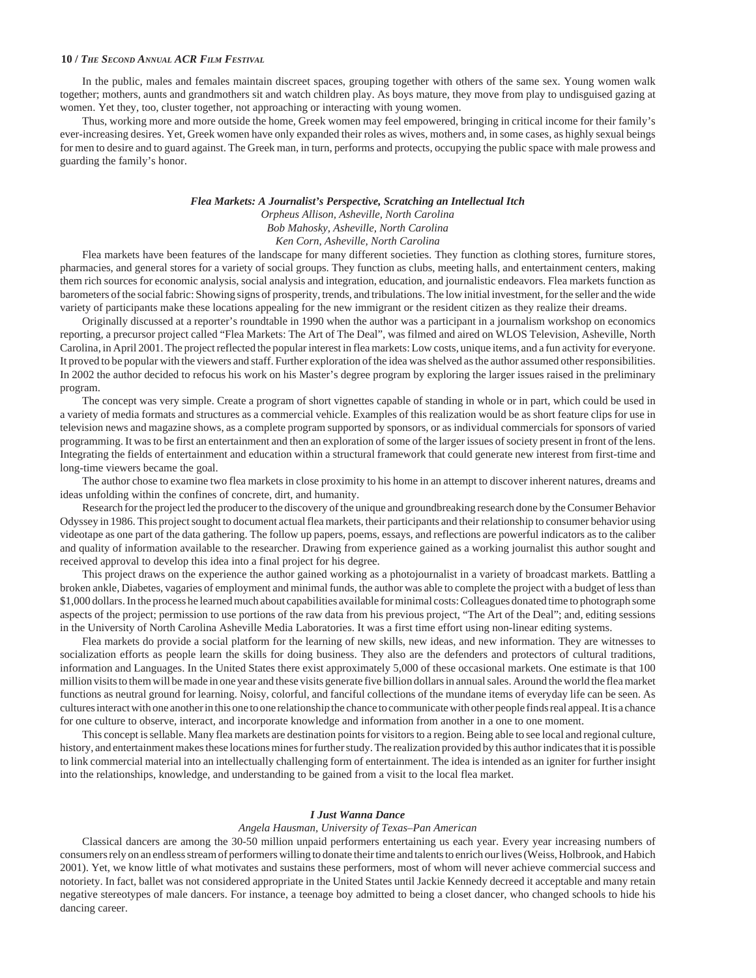In the public, males and females maintain discreet spaces, grouping together with others of the same sex. Young women walk together; mothers, aunts and grandmothers sit and watch children play. As boys mature, they move from play to undisguised gazing at women. Yet they, too, cluster together, not approaching or interacting with young women.

Thus, working more and more outside the home, Greek women may feel empowered, bringing in critical income for their family's ever-increasing desires. Yet, Greek women have only expanded their roles as wives, mothers and, in some cases, as highly sexual beings for men to desire and to guard against. The Greek man, in turn, performs and protects, occupying the public space with male prowess and guarding the family's honor.

## *Flea Markets: A Journalist's Perspective, Scratching an Intellectual Itch Orpheus Allison, Asheville, North Carolina*

*Bob Mahosky, Asheville, North Carolina*

## *Ken Corn, Asheville, North Carolina*

Flea markets have been features of the landscape for many different societies. They function as clothing stores, furniture stores, pharmacies, and general stores for a variety of social groups. They function as clubs, meeting halls, and entertainment centers, making them rich sources for economic analysis, social analysis and integration, education, and journalistic endeavors. Flea markets function as barometers of the social fabric: Showing signs of prosperity, trends, and tribulations. The low initial investment, for the seller and the wide variety of participants make these locations appealing for the new immigrant or the resident citizen as they realize their dreams.

Originally discussed at a reporter's roundtable in 1990 when the author was a participant in a journalism workshop on economics reporting, a precursor project called "Flea Markets: The Art of The Deal", was filmed and aired on WLOS Television, Asheville, North Carolina, in April 2001. The project reflected the popular interest in flea markets: Low costs, unique items, and a fun activity for everyone. It proved to be popular with the viewers and staff. Further exploration of the idea was shelved as the author assumed other responsibilities. In 2002 the author decided to refocus his work on his Master's degree program by exploring the larger issues raised in the preliminary program.

The concept was very simple. Create a program of short vignettes capable of standing in whole or in part, which could be used in a variety of media formats and structures as a commercial vehicle. Examples of this realization would be as short feature clips for use in television news and magazine shows, as a complete program supported by sponsors, or as individual commercials for sponsors of varied programming. It was to be first an entertainment and then an exploration of some of the larger issues of society present in front of the lens. Integrating the fields of entertainment and education within a structural framework that could generate new interest from first-time and long-time viewers became the goal.

The author chose to examine two flea markets in close proximity to his home in an attempt to discover inherent natures, dreams and ideas unfolding within the confines of concrete, dirt, and humanity.

Research for the project led the producer to the discovery of the unique and groundbreaking research done by the Consumer Behavior Odyssey in 1986. This project sought to document actual flea markets, their participants and their relationship to consumer behavior using videotape as one part of the data gathering. The follow up papers, poems, essays, and reflections are powerful indicators as to the caliber and quality of information available to the researcher. Drawing from experience gained as a working journalist this author sought and received approval to develop this idea into a final project for his degree.

This project draws on the experience the author gained working as a photojournalist in a variety of broadcast markets. Battling a broken ankle, Diabetes, vagaries of employment and minimal funds, the author was able to complete the project with a budget of less than \$1,000 dollars. In the process he learned much about capabilities available for minimal costs: Colleagues donated time to photograph some aspects of the project; permission to use portions of the raw data from his previous project, "The Art of the Deal"; and, editing sessions in the University of North Carolina Asheville Media Laboratories. It was a first time effort using non-linear editing systems.

Flea markets do provide a social platform for the learning of new skills, new ideas, and new information. They are witnesses to socialization efforts as people learn the skills for doing business. They also are the defenders and protectors of cultural traditions, information and Languages. In the United States there exist approximately 5,000 of these occasional markets. One estimate is that 100 million visits to them will be made in one year and these visits generate five billion dollars in annual sales. Around the world the flea market functions as neutral ground for learning. Noisy, colorful, and fanciful collections of the mundane items of everyday life can be seen. As cultures interact with one another in this one to one relationship the chance to communicate with other people finds real appeal. It is a chance for one culture to observe, interact, and incorporate knowledge and information from another in a one to one moment.

This concept is sellable. Many flea markets are destination points for visitors to a region. Being able to see local and regional culture, history, and entertainment makes these locations mines for further study. The realization provided by this author indicates that it is possible to link commercial material into an intellectually challenging form of entertainment. The idea is intended as an igniter for further insight into the relationships, knowledge, and understanding to be gained from a visit to the local flea market.

## *I Just Wanna Dance*

#### *Angela Hausman, University of Texas–Pan American*

Classical dancers are among the 30-50 million unpaid performers entertaining us each year. Every year increasing numbers of consumers rely on an endless stream of performers willing to donate their time and talents to enrich our lives (Weiss, Holbrook, and Habich 2001). Yet, we know little of what motivates and sustains these performers, most of whom will never achieve commercial success and notoriety. In fact, ballet was not considered appropriate in the United States until Jackie Kennedy decreed it acceptable and many retain negative stereotypes of male dancers. For instance, a teenage boy admitted to being a closet dancer, who changed schools to hide his dancing career.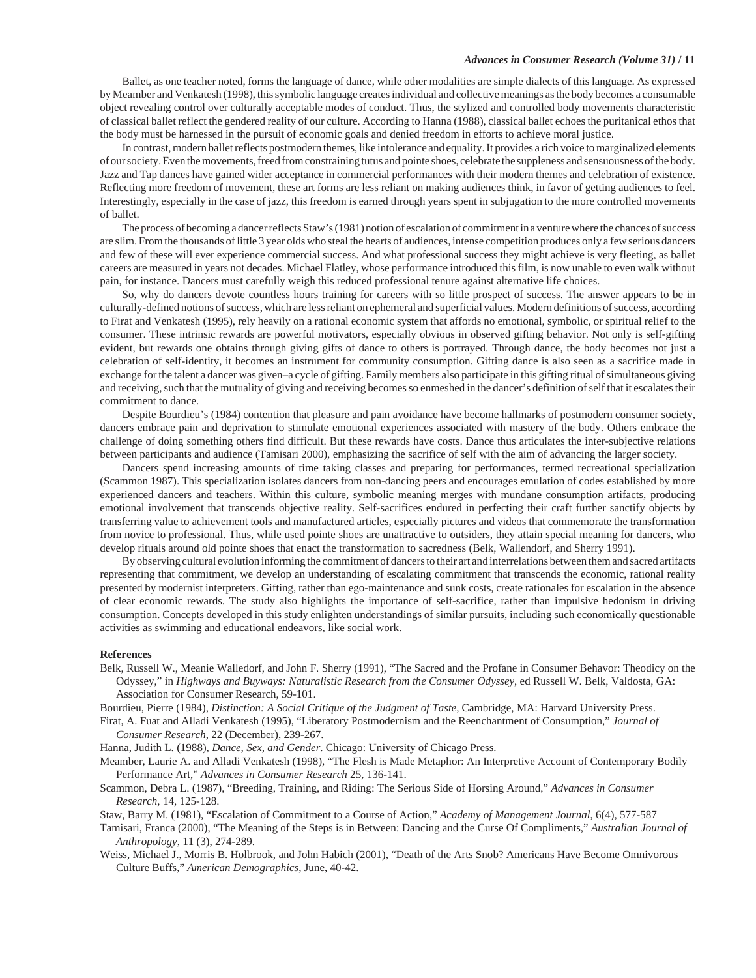Ballet, as one teacher noted, forms the language of dance, while other modalities are simple dialects of this language. As expressed by Meamber and Venkatesh (1998), this symbolic language creates individual and collective meanings as the body becomes a consumable object revealing control over culturally acceptable modes of conduct. Thus, the stylized and controlled body movements characteristic of classical ballet reflect the gendered reality of our culture. According to Hanna (1988), classical ballet echoes the puritanical ethos that the body must be harnessed in the pursuit of economic goals and denied freedom in efforts to achieve moral justice.

In contrast, modern ballet reflects postmodern themes, like intolerance and equality. It provides a rich voice to marginalized elements of our society. Even the movements, freed from constraining tutus and pointe shoes, celebrate the suppleness and sensuousness of the body. Jazz and Tap dances have gained wider acceptance in commercial performances with their modern themes and celebration of existence. Reflecting more freedom of movement, these art forms are less reliant on making audiences think, in favor of getting audiences to feel. Interestingly, especially in the case of jazz, this freedom is earned through years spent in subjugation to the more controlled movements of ballet.

The process of becoming a dancer reflects Staw's (1981) notion of escalation of commitment in a venture where the chances of success are slim. From the thousands of little 3 year olds who steal the hearts of audiences, intense competition produces only a few serious dancers and few of these will ever experience commercial success. And what professional success they might achieve is very fleeting, as ballet careers are measured in years not decades. Michael Flatley, whose performance introduced this film, is now unable to even walk without pain, for instance. Dancers must carefully weigh this reduced professional tenure against alternative life choices.

So, why do dancers devote countless hours training for careers with so little prospect of success. The answer appears to be in culturally-defined notions of success, which are less reliant on ephemeral and superficial values. Modern definitions of success, according to Firat and Venkatesh (1995), rely heavily on a rational economic system that affords no emotional, symbolic, or spiritual relief to the consumer. These intrinsic rewards are powerful motivators, especially obvious in observed gifting behavior. Not only is self-gifting evident, but rewards one obtains through giving gifts of dance to others is portrayed. Through dance, the body becomes not just a celebration of self-identity, it becomes an instrument for community consumption. Gifting dance is also seen as a sacrifice made in exchange for the talent a dancer was given–a cycle of gifting. Family members also participate in this gifting ritual of simultaneous giving and receiving, such that the mutuality of giving and receiving becomes so enmeshed in the dancer's definition of self that it escalates their commitment to dance.

Despite Bourdieu's (1984) contention that pleasure and pain avoidance have become hallmarks of postmodern consumer society, dancers embrace pain and deprivation to stimulate emotional experiences associated with mastery of the body. Others embrace the challenge of doing something others find difficult. But these rewards have costs. Dance thus articulates the inter-subjective relations between participants and audience (Tamisari 2000), emphasizing the sacrifice of self with the aim of advancing the larger society.

Dancers spend increasing amounts of time taking classes and preparing for performances, termed recreational specialization (Scammon 1987). This specialization isolates dancers from non-dancing peers and encourages emulation of codes established by more experienced dancers and teachers. Within this culture, symbolic meaning merges with mundane consumption artifacts, producing emotional involvement that transcends objective reality. Self-sacrifices endured in perfecting their craft further sanctify objects by transferring value to achievement tools and manufactured articles, especially pictures and videos that commemorate the transformation from novice to professional. Thus, while used pointe shoes are unattractive to outsiders, they attain special meaning for dancers, who develop rituals around old pointe shoes that enact the transformation to sacredness (Belk, Wallendorf, and Sherry 1991).

By observing cultural evolution informing the commitment of dancers to their art and interrelations between them and sacred artifacts representing that commitment, we develop an understanding of escalating commitment that transcends the economic, rational reality presented by modernist interpreters. Gifting, rather than ego-maintenance and sunk costs, create rationales for escalation in the absence of clear economic rewards. The study also highlights the importance of self-sacrifice, rather than impulsive hedonism in driving consumption. Concepts developed in this study enlighten understandings of similar pursuits, including such economically questionable activities as swimming and educational endeavors, like social work.

#### **References**

Belk, Russell W., Meanie Walledorf, and John F. Sherry (1991), "The Sacred and the Profane in Consumer Behavor: Theodicy on the Odyssey," in *Highways and Buyways: Naturalistic Research from the Consumer Odyssey*, ed Russell W. Belk, Valdosta, GA: Association for Consumer Research, 59-101.

Bourdieu, Pierre (1984), *Distinction: A Social Critique of the Judgment of Taste,* Cambridge, MA: Harvard University Press.

Firat, A. Fuat and Alladi Venkatesh (1995), "Liberatory Postmodernism and the Reenchantment of Consumption," *Journal of Consumer Research*, 22 (December), 239-267.

Hanna, Judith L. (1988), *Dance, Sex, and Gender*. Chicago: University of Chicago Press.

- Meamber, Laurie A. and Alladi Venkatesh (1998), "The Flesh is Made Metaphor: An Interpretive Account of Contemporary Bodily Performance Art," *Advances in Consumer Research* 25, 136-141.
- Scammon, Debra L. (1987), "Breeding, Training, and Riding: The Serious Side of Horsing Around," *Advances in Consumer Research*, 14, 125-128.

Staw, Barry M. (1981), "Escalation of Commitment to a Course of Action," *Academy of Management Journal*, 6(4), 577-587

Tamisari, Franca (2000), "The Meaning of the Steps is in Between: Dancing and the Curse Of Compliments," *Australian Journal of Anthropology*, 11 (3), 274-289.

Weiss, Michael J., Morris B. Holbrook, and John Habich (2001), "Death of the Arts Snob? Americans Have Become Omnivorous Culture Buffs," *American Demographics*, June, 40-42.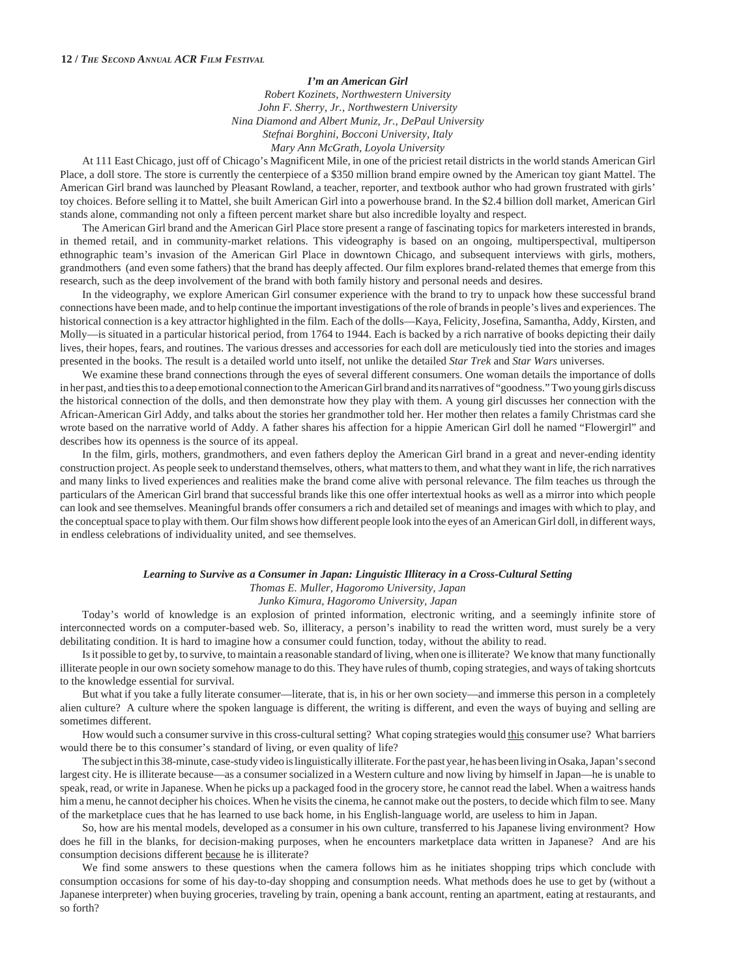## *I'm an American Girl*

*Robert Kozinets, Northwestern University John F. Sherry, Jr., Northwestern University Nina Diamond and Albert Muniz, Jr., DePaul University Stefnai Borghini, Bocconi University, Italy Mary Ann McGrath, Loyola University*

At 111 East Chicago, just off of Chicago's Magnificent Mile, in one of the priciest retail districts in the world stands American Girl Place, a doll store. The store is currently the centerpiece of a \$350 million brand empire owned by the American toy giant Mattel. The American Girl brand was launched by Pleasant Rowland, a teacher, reporter, and textbook author who had grown frustrated with girls' toy choices. Before selling it to Mattel, she built American Girl into a powerhouse brand. In the \$2.4 billion doll market, American Girl stands alone, commanding not only a fifteen percent market share but also incredible loyalty and respect.

The American Girl brand and the American Girl Place store present a range of fascinating topics for marketers interested in brands, in themed retail, and in community-market relations. This videography is based on an ongoing, multiperspectival, multiperson ethnographic team's invasion of the American Girl Place in downtown Chicago, and subsequent interviews with girls, mothers, grandmothers (and even some fathers) that the brand has deeply affected. Our film explores brand-related themes that emerge from this research, such as the deep involvement of the brand with both family history and personal needs and desires.

In the videography, we explore American Girl consumer experience with the brand to try to unpack how these successful brand connections have been made, and to help continue the important investigations of the role of brands in people's lives and experiences. The historical connection is a key attractor highlighted in the film. Each of the dolls—Kaya, Felicity, Josefina, Samantha, Addy, Kirsten, and Molly—is situated in a particular historical period, from 1764 to 1944. Each is backed by a rich narrative of books depicting their daily lives, their hopes, fears, and routines. The various dresses and accessories for each doll are meticulously tied into the stories and images presented in the books. The result is a detailed world unto itself, not unlike the detailed *Star Trek* and *Star Wars* universes.

We examine these brand connections through the eyes of several different consumers. One woman details the importance of dolls in her past, and ties this to a deep emotional connection to the American Girl brand and its narratives of "goodness." Two young girls discuss the historical connection of the dolls, and then demonstrate how they play with them. A young girl discusses her connection with the African-American Girl Addy, and talks about the stories her grandmother told her. Her mother then relates a family Christmas card she wrote based on the narrative world of Addy. A father shares his affection for a hippie American Girl doll he named "Flowergirl" and describes how its openness is the source of its appeal.

In the film, girls, mothers, grandmothers, and even fathers deploy the American Girl brand in a great and never-ending identity construction project. As people seek to understand themselves, others, what matters to them, and what they want in life, the rich narratives and many links to lived experiences and realities make the brand come alive with personal relevance. The film teaches us through the particulars of the American Girl brand that successful brands like this one offer intertextual hooks as well as a mirror into which people can look and see themselves. Meaningful brands offer consumers a rich and detailed set of meanings and images with which to play, and the conceptual space to play with them. Our film shows how different people look into the eyes of an American Girl doll, in different ways, in endless celebrations of individuality united, and see themselves.

# *Learning to Survive as a Consumer in Japan: Linguistic Illiteracy in a Cross-Cultural Setting Thomas E. Muller, Hagoromo University, Japan*

*Junko Kimura, Hagoromo University, Japan*

Today's world of knowledge is an explosion of printed information, electronic writing, and a seemingly infinite store of interconnected words on a computer-based web. So, illiteracy, a person's inability to read the written word, must surely be a very debilitating condition. It is hard to imagine how a consumer could function, today, without the ability to read.

Is it possible to get by, to survive, to maintain a reasonable standard of living, when one is illiterate? We know that many functionally illiterate people in our own society somehow manage to do this. They have rules of thumb, coping strategies, and ways of taking shortcuts to the knowledge essential for survival.

But what if you take a fully literate consumer—literate, that is, in his or her own society—and immerse this person in a completely alien culture? A culture where the spoken language is different, the writing is different, and even the ways of buying and selling are sometimes different.

How would such a consumer survive in this cross-cultural setting? What coping strategies would this consumer use? What barriers would there be to this consumer's standard of living, or even quality of life?

The subject in this 38-minute, case-study video is linguistically illiterate. For the past year, he has been living in Osaka, Japan's second largest city. He is illiterate because—as a consumer socialized in a Western culture and now living by himself in Japan—he is unable to speak, read, or write in Japanese. When he picks up a packaged food in the grocery store, he cannot read the label. When a waitress hands him a menu, he cannot decipher his choices. When he visits the cinema, he cannot make out the posters, to decide which film to see. Many of the marketplace cues that he has learned to use back home, in his English-language world, are useless to him in Japan.

So, how are his mental models, developed as a consumer in his own culture, transferred to his Japanese living environment? How does he fill in the blanks, for decision-making purposes, when he encounters marketplace data written in Japanese? And are his consumption decisions different because he is illiterate?

We find some answers to these questions when the camera follows him as he initiates shopping trips which conclude with consumption occasions for some of his day-to-day shopping and consumption needs. What methods does he use to get by (without a Japanese interpreter) when buying groceries, traveling by train, opening a bank account, renting an apartment, eating at restaurants, and so forth?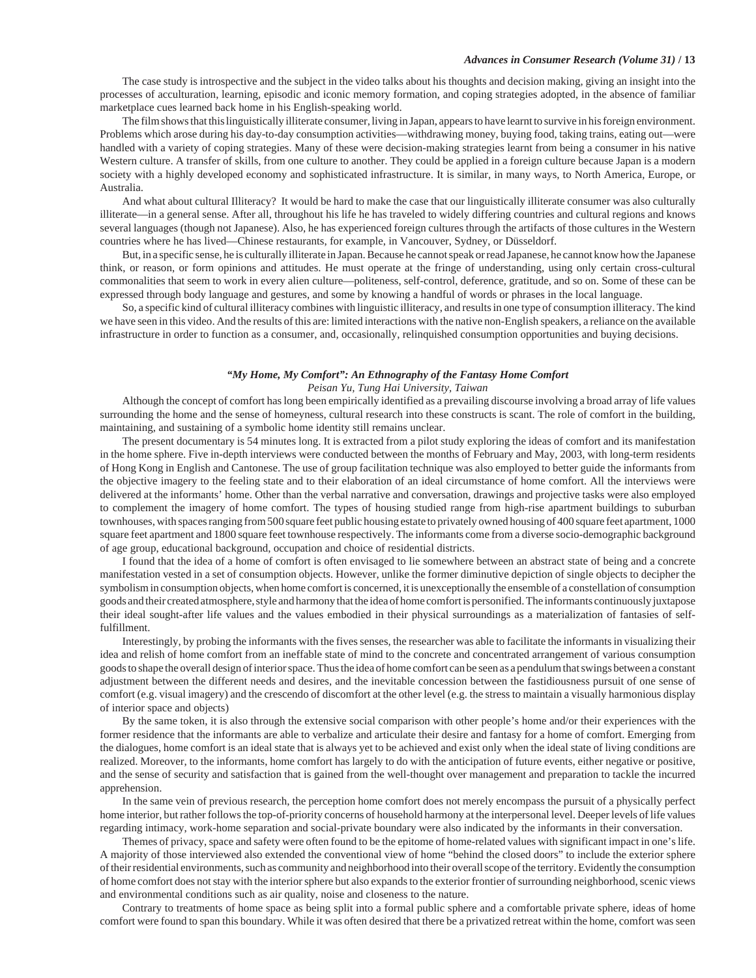The case study is introspective and the subject in the video talks about his thoughts and decision making, giving an insight into the processes of acculturation, learning, episodic and iconic memory formation, and coping strategies adopted, in the absence of familiar marketplace cues learned back home in his English-speaking world.

The film shows that this linguistically illiterate consumer, living in Japan, appears to have learnt to survive in his foreign environment. Problems which arose during his day-to-day consumption activities—withdrawing money, buying food, taking trains, eating out—were handled with a variety of coping strategies. Many of these were decision-making strategies learnt from being a consumer in his native Western culture. A transfer of skills, from one culture to another. They could be applied in a foreign culture because Japan is a modern society with a highly developed economy and sophisticated infrastructure. It is similar, in many ways, to North America, Europe, or Australia.

And what about cultural Illiteracy? It would be hard to make the case that our linguistically illiterate consumer was also culturally illiterate—in a general sense. After all, throughout his life he has traveled to widely differing countries and cultural regions and knows several languages (though not Japanese). Also, he has experienced foreign cultures through the artifacts of those cultures in the Western countries where he has lived—Chinese restaurants, for example, in Vancouver, Sydney, or Düsseldorf.

But, in a specific sense, he is culturally illiterate in Japan. Because he cannot speak or read Japanese, he cannot know how the Japanese think, or reason, or form opinions and attitudes. He must operate at the fringe of understanding, using only certain cross-cultural commonalities that seem to work in every alien culture—politeness, self-control, deference, gratitude, and so on. Some of these can be expressed through body language and gestures, and some by knowing a handful of words or phrases in the local language.

So, a specific kind of cultural illiteracy combines with linguistic illiteracy, and results in one type of consumption illiteracy. The kind we have seen in this video. And the results of this are: limited interactions with the native non-English speakers, a reliance on the available infrastructure in order to function as a consumer, and, occasionally, relinquished consumption opportunities and buying decisions.

#### *"My Home, My Comfort": An Ethnography of the Fantasy Home Comfort*

#### *Peisan Yu, Tung Hai University, Taiwan*

Although the concept of comfort has long been empirically identified as a prevailing discourse involving a broad array of life values surrounding the home and the sense of homeyness, cultural research into these constructs is scant. The role of comfort in the building, maintaining, and sustaining of a symbolic home identity still remains unclear.

The present documentary is 54 minutes long. It is extracted from a pilot study exploring the ideas of comfort and its manifestation in the home sphere. Five in-depth interviews were conducted between the months of February and May, 2003, with long-term residents of Hong Kong in English and Cantonese. The use of group facilitation technique was also employed to better guide the informants from the objective imagery to the feeling state and to their elaboration of an ideal circumstance of home comfort. All the interviews were delivered at the informants' home. Other than the verbal narrative and conversation, drawings and projective tasks were also employed to complement the imagery of home comfort. The types of housing studied range from high-rise apartment buildings to suburban townhouses, with spaces ranging from 500 square feet public housing estate to privately owned housing of 400 square feet apartment, 1000 square feet apartment and 1800 square feet townhouse respectively. The informants come from a diverse socio-demographic background of age group, educational background, occupation and choice of residential districts.

I found that the idea of a home of comfort is often envisaged to lie somewhere between an abstract state of being and a concrete manifestation vested in a set of consumption objects. However, unlike the former diminutive depiction of single objects to decipher the symbolism in consumption objects, when home comfort is concerned, it is unexceptionally the ensemble of a constellation of consumption goods and their created atmosphere, style and harmony that the idea of home comfort is personified. The informants continuously juxtapose their ideal sought-after life values and the values embodied in their physical surroundings as a materialization of fantasies of selffulfillment.

Interestingly, by probing the informants with the fives senses, the researcher was able to facilitate the informants in visualizing their idea and relish of home comfort from an ineffable state of mind to the concrete and concentrated arrangement of various consumption goods to shape the overall design of interior space. Thus the idea of home comfort can be seen as a pendulum that swings between a constant adjustment between the different needs and desires, and the inevitable concession between the fastidiousness pursuit of one sense of comfort (e.g. visual imagery) and the crescendo of discomfort at the other level (e.g. the stress to maintain a visually harmonious display of interior space and objects)

By the same token, it is also through the extensive social comparison with other people's home and/or their experiences with the former residence that the informants are able to verbalize and articulate their desire and fantasy for a home of comfort. Emerging from the dialogues, home comfort is an ideal state that is always yet to be achieved and exist only when the ideal state of living conditions are realized. Moreover, to the informants, home comfort has largely to do with the anticipation of future events, either negative or positive, and the sense of security and satisfaction that is gained from the well-thought over management and preparation to tackle the incurred apprehension.

In the same vein of previous research, the perception home comfort does not merely encompass the pursuit of a physically perfect home interior, but rather follows the top-of-priority concerns of household harmony at the interpersonal level. Deeper levels of life values regarding intimacy, work-home separation and social-private boundary were also indicated by the informants in their conversation.

Themes of privacy, space and safety were often found to be the epitome of home-related values with significant impact in one's life. A majority of those interviewed also extended the conventional view of home "behind the closed doors" to include the exterior sphere of their residential environments, such as community and neighborhood into their overall scope of the territory. Evidently the consumption of home comfort does not stay with the interior sphere but also expands to the exterior frontier of surrounding neighborhood, scenic views and environmental conditions such as air quality, noise and closeness to the nature.

Contrary to treatments of home space as being split into a formal public sphere and a comfortable private sphere, ideas of home comfort were found to span this boundary. While it was often desired that there be a privatized retreat within the home, comfort was seen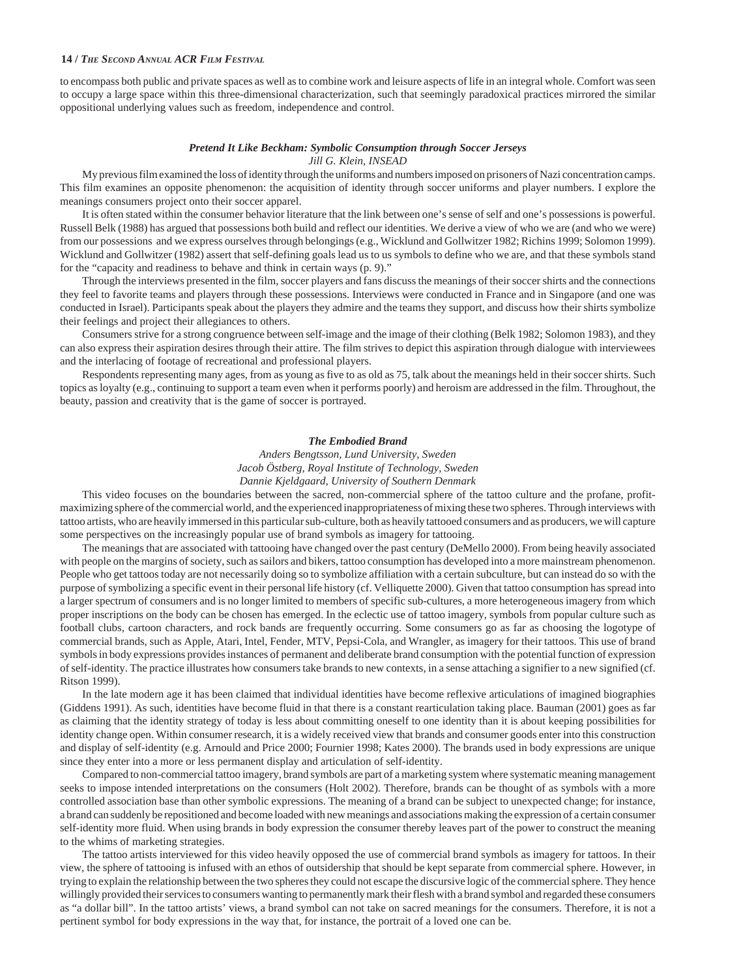to encompass both public and private spaces as well as to combine work and leisure aspects of life in an integral whole. Comfort was seen to occupy a large space within this three-dimensional characterization, such that seemingly paradoxical practices mirrored the similar oppositional underlying values such as freedom, independence and control.

## *Pretend It Like Beckham: Symbolic Consumption through Soccer Jerseys Jill G. Klein, INSEAD*

My previous film examined the loss of identity through the uniforms and numbers imposed on prisoners of Nazi concentration camps. This film examines an opposite phenomenon: the acquisition of identity through soccer uniforms and player numbers. I explore the meanings consumers project onto their soccer apparel.

It is often stated within the consumer behavior literature that the link between one's sense of self and one's possessions is powerful. Russell Belk (1988) has argued that possessions both build and reflect our identities. We derive a view of who we are (and who we were) from our possessions and we express ourselves through belongings (e.g., Wicklund and Gollwitzer 1982; Richins 1999; Solomon 1999). Wicklund and Gollwitzer (1982) assert that self-defining goals lead us to us symbols to define who we are, and that these symbols stand for the "capacity and readiness to behave and think in certain ways (p. 9)."

Through the interviews presented in the film, soccer players and fans discuss the meanings of their soccer shirts and the connections they feel to favorite teams and players through these possessions. Interviews were conducted in France and in Singapore (and one was conducted in Israel). Participants speak about the players they admire and the teams they support, and discuss how their shirts symbolize their feelings and project their allegiances to others.

Consumers strive for a strong congruence between self-image and the image of their clothing (Belk 1982; Solomon 1983), and they can also express their aspiration desires through their attire. The film strives to depict this aspiration through dialogue with interviewees and the interlacing of footage of recreational and professional players.

Respondents representing many ages, from as young as five to as old as 75, talk about the meanings held in their soccer shirts. Such topics as loyalty (e.g., continuing to support a team even when it performs poorly) and heroism are addressed in the film. Throughout, the beauty, passion and creativity that is the game of soccer is portrayed.

#### *The Embodied Brand*

*Anders Bengtsson, Lund University, Sweden Jacob Östberg, Royal Institute of Technology, Sweden Dannie Kjeldgaard, University of Southern Denmark*

This video focuses on the boundaries between the sacred, non-commercial sphere of the tattoo culture and the profane, profitmaximizing sphere of the commercial world, and the experienced inappropriateness of mixing these two spheres. Through interviews with tattoo artists, who are heavily immersed in this particular sub-culture, both as heavily tattooed consumers and as producers, we will capture some perspectives on the increasingly popular use of brand symbols as imagery for tattooing.

The meanings that are associated with tattooing have changed over the past century (DeMello 2000). From being heavily associated with people on the margins of society, such as sailors and bikers, tattoo consumption has developed into a more mainstream phenomenon. People who get tattoos today are not necessarily doing so to symbolize affiliation with a certain subculture, but can instead do so with the purpose of symbolizing a specific event in their personal life history (cf. Velliquette 2000). Given that tattoo consumption has spread into a larger spectrum of consumers and is no longer limited to members of specific sub-cultures, a more heterogeneous imagery from which proper inscriptions on the body can be chosen has emerged. In the eclectic use of tattoo imagery, symbols from popular culture such as football clubs, cartoon characters, and rock bands are frequently occurring. Some consumers go as far as choosing the logotype of commercial brands, such as Apple, Atari, Intel, Fender, MTV, Pepsi-Cola, and Wrangler, as imagery for their tattoos. This use of brand symbols in body expressions provides instances of permanent and deliberate brand consumption with the potential function of expression of self-identity. The practice illustrates how consumers take brands to new contexts, in a sense attaching a signifier to a new signified (cf. Ritson 1999).

In the late modern age it has been claimed that individual identities have become reflexive articulations of imagined biographies (Giddens 1991). As such, identities have become fluid in that there is a constant rearticulation taking place. Bauman (2001) goes as far as claiming that the identity strategy of today is less about committing oneself to one identity than it is about keeping possibilities for identity change open. Within consumer research, it is a widely received view that brands and consumer goods enter into this construction and display of self-identity (e.g. Arnould and Price 2000; Fournier 1998; Kates 2000). The brands used in body expressions are unique since they enter into a more or less permanent display and articulation of self-identity.

Compared to non-commercial tattoo imagery, brand symbols are part of a marketing system where systematic meaning management seeks to impose intended interpretations on the consumers (Holt 2002). Therefore, brands can be thought of as symbols with a more controlled association base than other symbolic expressions. The meaning of a brand can be subject to unexpected change; for instance, a brand can suddenly be repositioned and become loaded with new meanings and associations making the expression of a certain consumer self-identity more fluid. When using brands in body expression the consumer thereby leaves part of the power to construct the meaning to the whims of marketing strategies.

The tattoo artists interviewed for this video heavily opposed the use of commercial brand symbols as imagery for tattoos. In their view, the sphere of tattooing is infused with an ethos of outsidership that should be kept separate from commercial sphere. However, in trying to explain the relationship between the two spheres they could not escape the discursive logic of the commercial sphere. They hence willingly provided their services to consumers wanting to permanently mark their flesh with a brand symbol and regarded these consumers as "a dollar bill". In the tattoo artists' views, a brand symbol can not take on sacred meanings for the consumers. Therefore, it is not a pertinent symbol for body expressions in the way that, for instance, the portrait of a loved one can be.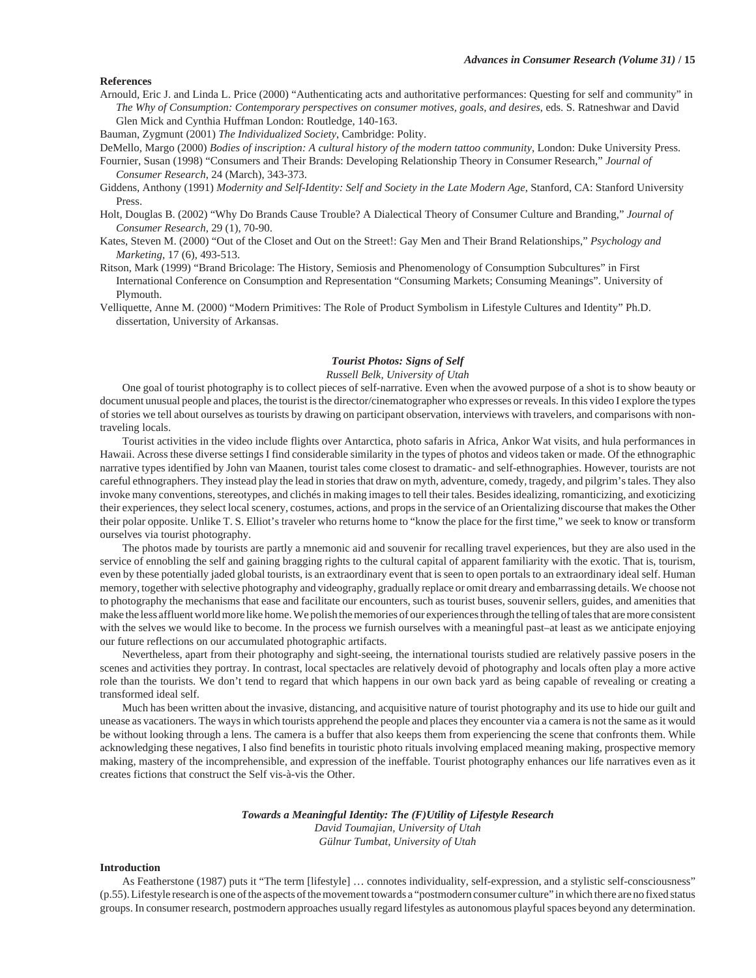#### **References**

Arnould, Eric J. and Linda L. Price (2000) "Authenticating acts and authoritative performances: Questing for self and community" in *The Why of Consumption: Contemporary perspectives on consumer motives, goals, and desires*, eds. S. Ratneshwar and David Glen Mick and Cynthia Huffman London: Routledge, 140-163.

Bauman, Zygmunt (2001) *The Individualized Society*, Cambridge: Polity.

DeMello, Margo (2000) *Bodies of inscription: A cultural history of the modern tattoo community*, London: Duke University Press.

- Fournier, Susan (1998) "Consumers and Their Brands: Developing Relationship Theory in Consumer Research," *Journal of Consumer Research*, 24 (March), 343-373.
- Giddens, Anthony (1991) *Modernity and Self-Identity: Self and Society in the Late Modern Age*, Stanford, CA: Stanford University Press.
- Holt, Douglas B. (2002) "Why Do Brands Cause Trouble? A Dialectical Theory of Consumer Culture and Branding," *Journal of Consumer Research*, 29 (1), 70-90.
- Kates, Steven M. (2000) "Out of the Closet and Out on the Street!: Gay Men and Their Brand Relationships," *Psychology and Marketing*, 17 (6), 493-513.
- Ritson, Mark (1999) "Brand Bricolage: The History, Semiosis and Phenomenology of Consumption Subcultures" in First International Conference on Consumption and Representation "Consuming Markets; Consuming Meanings". University of Plymouth.
- Velliquette, Anne M. (2000) "Modern Primitives: The Role of Product Symbolism in Lifestyle Cultures and Identity" Ph.D. dissertation, University of Arkansas.

## *Tourist Photos: Signs of Self Russell Belk, University of Utah*

One goal of tourist photography is to collect pieces of self-narrative. Even when the avowed purpose of a shot is to show beauty or document unusual people and places, the tourist is the director/cinematographer who expresses or reveals. In this video I explore the types of stories we tell about ourselves as tourists by drawing on participant observation, interviews with travelers, and comparisons with nontraveling locals.

Tourist activities in the video include flights over Antarctica, photo safaris in Africa, Ankor Wat visits, and hula performances in Hawaii. Across these diverse settings I find considerable similarity in the types of photos and videos taken or made. Of the ethnographic narrative types identified by John van Maanen, tourist tales come closest to dramatic- and self-ethnographies. However, tourists are not careful ethnographers. They instead play the lead in stories that draw on myth, adventure, comedy, tragedy, and pilgrim's tales. They also invoke many conventions, stereotypes, and clichés in making images to tell their tales. Besides idealizing, romanticizing, and exoticizing their experiences, they select local scenery, costumes, actions, and props in the service of an Orientalizing discourse that makes the Other their polar opposite. Unlike T. S. Elliot's traveler who returns home to "know the place for the first time," we seek to know or transform ourselves via tourist photography.

The photos made by tourists are partly a mnemonic aid and souvenir for recalling travel experiences, but they are also used in the service of ennobling the self and gaining bragging rights to the cultural capital of apparent familiarity with the exotic. That is, tourism, even by these potentially jaded global tourists, is an extraordinary event that is seen to open portals to an extraordinary ideal self. Human memory, together with selective photography and videography, gradually replace or omit dreary and embarrassing details. We choose not to photography the mechanisms that ease and facilitate our encounters, such as tourist buses, souvenir sellers, guides, and amenities that make the less affluent world more like home. We polish the memories of our experiences through the telling of tales that are more consistent with the selves we would like to become. In the process we furnish ourselves with a meaningful past–at least as we anticipate enjoying our future reflections on our accumulated photographic artifacts.

Nevertheless, apart from their photography and sight-seeing, the international tourists studied are relatively passive posers in the scenes and activities they portray. In contrast, local spectacles are relatively devoid of photography and locals often play a more active role than the tourists. We don't tend to regard that which happens in our own back yard as being capable of revealing or creating a transformed ideal self.

Much has been written about the invasive, distancing, and acquisitive nature of tourist photography and its use to hide our guilt and unease as vacationers. The ways in which tourists apprehend the people and places they encounter via a camera is not the same as it would be without looking through a lens. The camera is a buffer that also keeps them from experiencing the scene that confronts them. While acknowledging these negatives, I also find benefits in touristic photo rituals involving emplaced meaning making, prospective memory making, mastery of the incomprehensible, and expression of the ineffable. Tourist photography enhances our life narratives even as it creates fictions that construct the Self vis-à-vis the Other.

## *Towards a Meaningful Identity: The (F)Utility of Lifestyle Research David Toumajian, University of Utah Gülnur Tumbat, University of Utah*

## **Introduction**

As Featherstone (1987) puts it "The term [lifestyle] … connotes individuality, self-expression, and a stylistic self-consciousness" (p.55). Lifestyle research is one of the aspects of the movement towards a "postmodern consumer culture" in which there are no fixed status groups. In consumer research, postmodern approaches usually regard lifestyles as autonomous playful spaces beyond any determination.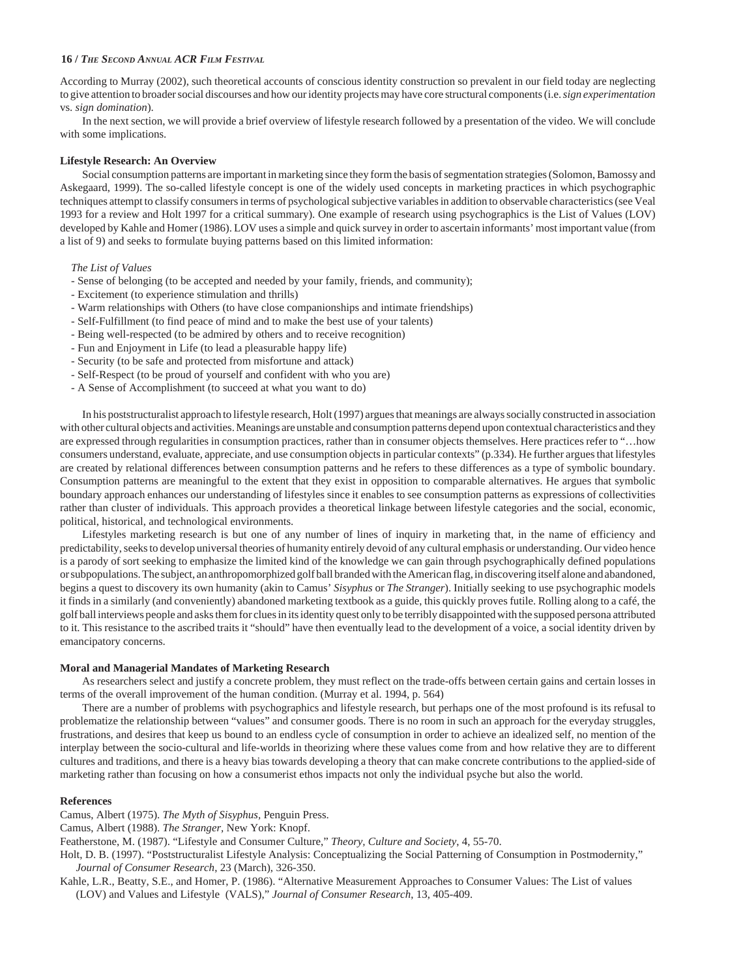According to Murray (2002), such theoretical accounts of conscious identity construction so prevalent in our field today are neglecting to give attention to broader social discourses and how our identity projects may have core structural components (i.e. *sign experimentation* vs. *sign domination*).

In the next section, we will provide a brief overview of lifestyle research followed by a presentation of the video. We will conclude with some implications.

## **Lifestyle Research: An Overview**

Social consumption patterns are important in marketing since they form the basis of segmentation strategies (Solomon, Bamossy and Askegaard, 1999). The so-called lifestyle concept is one of the widely used concepts in marketing practices in which psychographic techniques attempt to classify consumers in terms of psychological subjective variables in addition to observable characteristics (see Veal 1993 for a review and Holt 1997 for a critical summary). One example of research using psychographics is the List of Values (LOV) developed by Kahle and Homer (1986). LOV uses a simple and quick survey in order to ascertain informants' most important value (from a list of 9) and seeks to formulate buying patterns based on this limited information:

## *The List of Values*

- Sense of belonging (to be accepted and needed by your family, friends, and community);
- Excitement (to experience stimulation and thrills)
- Warm relationships with Others (to have close companionships and intimate friendships)
- Self-Fulfillment (to find peace of mind and to make the best use of your talents)
- Being well-respected (to be admired by others and to receive recognition)
- Fun and Enjoyment in Life (to lead a pleasurable happy life)
- Security (to be safe and protected from misfortune and attack)
- Self-Respect (to be proud of yourself and confident with who you are)
- A Sense of Accomplishment (to succeed at what you want to do)

In his poststructuralist approach to lifestyle research, Holt (1997) argues that meanings are always socially constructed in association with other cultural objects and activities. Meanings are unstable and consumption patterns depend upon contextual characteristics and they are expressed through regularities in consumption practices, rather than in consumer objects themselves. Here practices refer to "…how consumers understand, evaluate, appreciate, and use consumption objects in particular contexts" (p.334). He further argues that lifestyles are created by relational differences between consumption patterns and he refers to these differences as a type of symbolic boundary. Consumption patterns are meaningful to the extent that they exist in opposition to comparable alternatives. He argues that symbolic boundary approach enhances our understanding of lifestyles since it enables to see consumption patterns as expressions of collectivities rather than cluster of individuals. This approach provides a theoretical linkage between lifestyle categories and the social, economic, political, historical, and technological environments.

Lifestyles marketing research is but one of any number of lines of inquiry in marketing that, in the name of efficiency and predictability, seeks to develop universal theories of humanity entirely devoid of any cultural emphasis or understanding. Our video hence is a parody of sort seeking to emphasize the limited kind of the knowledge we can gain through psychographically defined populations or subpopulations. The subject, an anthropomorphized golf ball branded with the American flag, in discovering itself alone and abandoned, begins a quest to discovery its own humanity (akin to Camus' *Sisyphus* or *The Stranger*). Initially seeking to use psychographic models it finds in a similarly (and conveniently) abandoned marketing textbook as a guide, this quickly proves futile. Rolling along to a café, the golf ball interviews people and asks them for clues in its identity quest only to be terribly disappointed with the supposed persona attributed to it. This resistance to the ascribed traits it "should" have then eventually lead to the development of a voice, a social identity driven by emancipatory concerns.

#### **Moral and Managerial Mandates of Marketing Research**

As researchers select and justify a concrete problem, they must reflect on the trade-offs between certain gains and certain losses in terms of the overall improvement of the human condition. (Murray et al. 1994, p. 564)

There are a number of problems with psychographics and lifestyle research, but perhaps one of the most profound is its refusal to problematize the relationship between "values" and consumer goods. There is no room in such an approach for the everyday struggles, frustrations, and desires that keep us bound to an endless cycle of consumption in order to achieve an idealized self, no mention of the interplay between the socio-cultural and life-worlds in theorizing where these values come from and how relative they are to different cultures and traditions, and there is a heavy bias towards developing a theory that can make concrete contributions to the applied-side of marketing rather than focusing on how a consumerist ethos impacts not only the individual psyche but also the world.

## **References**

Camus, Albert (1975). *The Myth of Sisyphus,* Penguin Press.

Camus, Albert (1988). *The Stranger,* New York: Knopf.

Featherstone, M. (1987). "Lifestyle and Consumer Culture," *Theory, Culture and Society*, 4, 55-70.

- Holt, D. B. (1997). "Poststructuralist Lifestyle Analysis: Conceptualizing the Social Patterning of Consumption in Postmodernity," *Journal of Consumer Research*, 23 (March), 326-350.
- Kahle, L.R., Beatty, S.E., and Homer, P. (1986). "Alternative Measurement Approaches to Consumer Values: The List of values (LOV) and Values and Lifestyle (VALS)," *Journal of Consumer Research*, 13, 405-409.